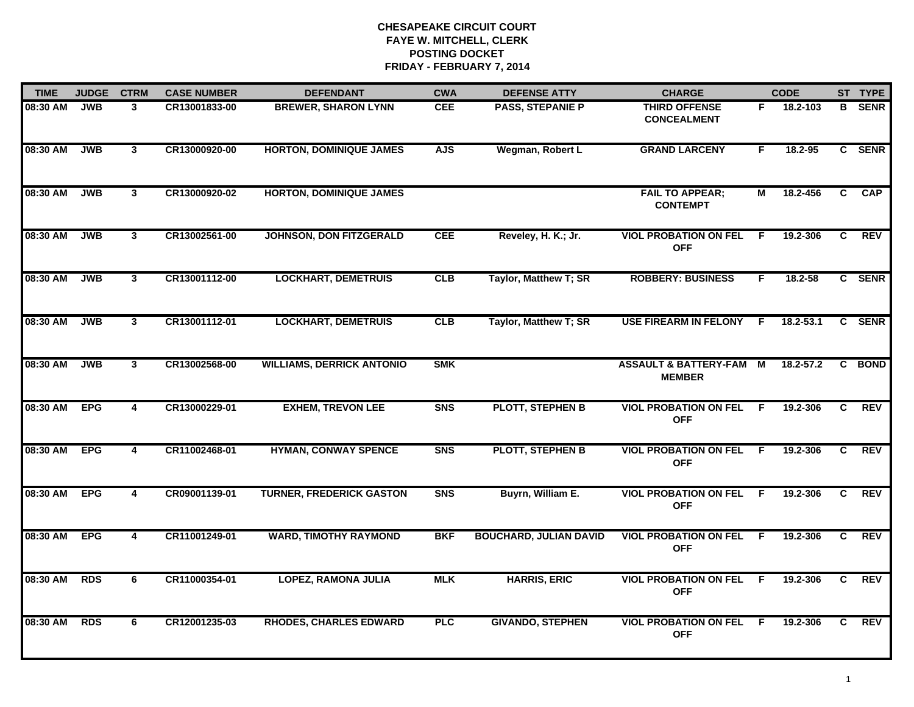| <b>TIME</b> | <b>JUDGE</b> | <b>CTRM</b>             | <b>CASE NUMBER</b> | <b>DEFENDANT</b>                 | <b>CWA</b>     | <b>DEFENSE ATTY</b>           | <b>CHARGE</b>                                       |                | <b>CODE</b>   |                | ST TYPE     |
|-------------|--------------|-------------------------|--------------------|----------------------------------|----------------|-------------------------------|-----------------------------------------------------|----------------|---------------|----------------|-------------|
| 08:30 AM    | JWB          | 3                       | CR13001833-00      | <b>BREWER, SHARON LYNN</b>       | <b>CEE</b>     | <b>PASS, STEPANIE P</b>       | <b>THIRD OFFENSE</b><br><b>CONCEALMENT</b>          | F.             | 18.2-103      | B.             | <b>SENR</b> |
| 08:30 AM    | JWB          | $\mathbf{3}$            | CR13000920-00      | <b>HORTON, DOMINIQUE JAMES</b>   | <b>AJS</b>     | Wegman, Robert L              | <b>GRAND LARCENY</b>                                | F.             | $18.2 - 95$   |                | C SENR      |
| 08:30 AM    | JWB          | $\mathbf{3}$            | CR13000920-02      | <b>HORTON, DOMINIQUE JAMES</b>   |                |                               | <b>FAIL TO APPEAR;</b><br><b>CONTEMPT</b>           | М              | 18.2-456      | C              | <b>CAP</b>  |
| 08:30 AM    | <b>JWB</b>   | 3                       | CR13002561-00      | JOHNSON, DON FITZGERALD          | <b>CEE</b>     | Reveley, H. K.; Jr.           | <b>VIOL PROBATION ON FEL</b><br><b>OFF</b>          | -F             | 19.2-306      | C              | <b>REV</b>  |
| 08:30 AM    | <b>JWB</b>   | 3                       | CR13001112-00      | <b>LOCKHART, DEMETRUIS</b>       | CLB            | Taylor, Matthew T; SR         | <b>ROBBERY: BUSINESS</b>                            | F.             | 18.2-58       |                | C SENR      |
| 08:30 AM    | <b>JWB</b>   | $\mathbf{3}$            | CR13001112-01      | <b>LOCKHART, DEMETRUIS</b>       | CLB            | Taylor, Matthew T; SR         | <b>USE FIREARM IN FELONY</b>                        | -F             | $18.2 - 53.1$ | $\mathbf{C}$   | <b>SENR</b> |
| 08:30 AM    | <b>JWB</b>   | $\overline{\mathbf{3}}$ | CR13002568-00      | <b>WILLIAMS, DERRICK ANTONIO</b> | <b>SMK</b>     |                               | <b>ASSAULT &amp; BATTERY-FAM M</b><br><b>MEMBER</b> |                | $18.2 - 57.2$ | $\overline{c}$ | <b>BOND</b> |
| 08:30 AM    | <b>EPG</b>   | 4                       | CR13000229-01      | <b>EXHEM, TREVON LEE</b>         | <b>SNS</b>     | <b>PLOTT, STEPHEN B</b>       | <b>VIOL PROBATION ON FEL</b><br><b>OFF</b>          | -F             | 19.2-306      | C.             | <b>REV</b>  |
| 08:30 AM    | <b>EPG</b>   | 4                       | CR11002468-01      | <b>HYMAN, CONWAY SPENCE</b>      | S <sub>N</sub> | <b>PLOTT, STEPHEN B</b>       | <b>VIOL PROBATION ON FEL</b><br><b>OFF</b>          | -F             | 19.2-306      | C              | <b>REV</b>  |
| 08:30 AM    | <b>EPG</b>   | 4                       | CR09001139-01      | <b>TURNER, FREDERICK GASTON</b>  | S <sub>N</sub> | Buyrn, William E.             | <b>VIOL PROBATION ON FEL</b><br><b>OFF</b>          | -F             | 19.2-306      | C              | <b>REV</b>  |
| 08:30 AM    | <b>EPG</b>   | 4                       | CR11001249-01      | <b>WARD, TIMOTHY RAYMOND</b>     | <b>BKF</b>     | <b>BOUCHARD, JULIAN DAVID</b> | <b>VIOL PROBATION ON FEL</b><br><b>OFF</b>          | F.             | 19.2-306      | C.             | <b>REV</b>  |
| 08:30 AM    | <b>RDS</b>   | 6                       | CR11000354-01      | <b>LOPEZ, RAMONA JULIA</b>       | <b>MLK</b>     | <b>HARRIS, ERIC</b>           | <b>VIOL PROBATION ON FEL</b><br><b>OFF</b>          | $\overline{F}$ | 19.2-306      | $\overline{c}$ | REV         |
| 08:30 AM    | <b>RDS</b>   | 6                       | CR12001235-03      | <b>RHODES, CHARLES EDWARD</b>    | <b>PLC</b>     | <b>GIVANDO, STEPHEN</b>       | <b>VIOL PROBATION ON FEL</b><br><b>OFF</b>          | -F             | 19.2-306      | C              | REV         |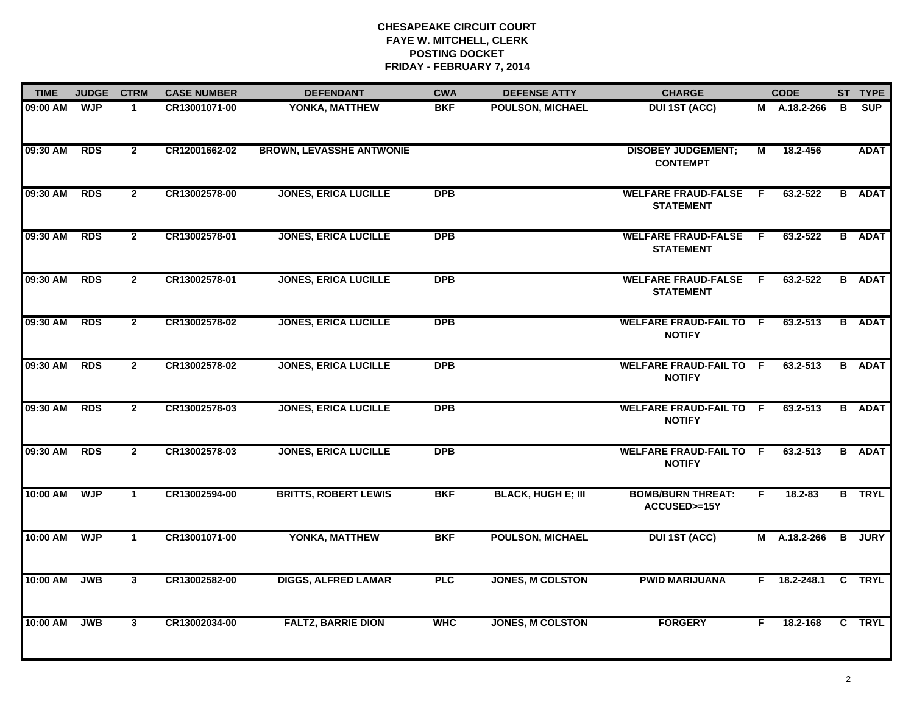| <b>TIME</b> | <b>JUDGE</b> | <b>CTRM</b>    | <b>CASE NUMBER</b> | <b>DEFENDANT</b>                | <b>CWA</b> | <b>DEFENSE ATTY</b>       | <b>CHARGE</b>                                   |    | <b>CODE</b>    |   | ST TYPE       |
|-------------|--------------|----------------|--------------------|---------------------------------|------------|---------------------------|-------------------------------------------------|----|----------------|---|---------------|
| 09:00 AM    | <b>WJP</b>   | $\mathbf{1}$   | CR13001071-00      | YONKA, MATTHEW                  | <b>BKF</b> | <b>POULSON, MICHAEL</b>   | <b>DUI 1ST (ACC)</b>                            |    | M A.18.2-266   | в | <b>SUP</b>    |
| 09:30 AM    | <b>RDS</b>   | $\overline{2}$ | CR12001662-02      | <b>BROWN, LEVASSHE ANTWONIE</b> |            |                           | <b>DISOBEY JUDGEMENT;</b><br><b>CONTEMPT</b>    | М  | 18.2-456       |   | <b>ADAT</b>   |
| 09:30 AM    | <b>RDS</b>   | $\overline{2}$ | CR13002578-00      | <b>JONES, ERICA LUCILLE</b>     | <b>DPB</b> |                           | <b>WELFARE FRAUD-FALSE</b><br><b>STATEMENT</b>  | F. | 63.2-522       |   | <b>B</b> ADAT |
| 09:30 AM    | <b>RDS</b>   | $\mathbf{2}$   | CR13002578-01      | <b>JONES, ERICA LUCILLE</b>     | <b>DPB</b> |                           | <b>WELFARE FRAUD-FALSE</b><br><b>STATEMENT</b>  | F. | 63.2-522       |   | <b>B</b> ADAT |
| 09:30 AM    | <b>RDS</b>   | $\mathbf{2}$   | CR13002578-01      | <b>JONES, ERICA LUCILLE</b>     | <b>DPB</b> |                           | <b>WELFARE FRAUD-FALSE</b><br><b>STATEMENT</b>  | F. | 63.2-522       |   | <b>B</b> ADAT |
| 09:30 AM    | <b>RDS</b>   | $\mathbf{2}$   | CR13002578-02      | <b>JONES, ERICA LUCILLE</b>     | <b>DPB</b> |                           | <b>WELFARE FRAUD-FAIL TO F</b><br><b>NOTIFY</b> |    | 63.2-513       |   | <b>B</b> ADAT |
| 09:30 AM    | <b>RDS</b>   | $\overline{2}$ | CR13002578-02      | <b>JONES, ERICA LUCILLE</b>     | <b>DPB</b> |                           | <b>WELFARE FRAUD-FAIL TO F</b><br><b>NOTIFY</b> |    | 63.2-513       |   | <b>B</b> ADAT |
| 09:30 AM    | <b>RDS</b>   | $\overline{2}$ | CR13002578-03      | <b>JONES, ERICA LUCILLE</b>     | <b>DPB</b> |                           | <b>WELFARE FRAUD-FAIL TO F</b><br><b>NOTIFY</b> |    | 63.2-513       |   | <b>B</b> ADAT |
| 09:30 AM    | <b>RDS</b>   | $\overline{2}$ | CR13002578-03      | <b>JONES, ERICA LUCILLE</b>     | <b>DPB</b> |                           | <b>WELFARE FRAUD-FAIL TO F</b><br><b>NOTIFY</b> |    | 63.2-513       |   | <b>B</b> ADAT |
| 10:00 AM    | <b>WJP</b>   | $\mathbf{1}$   | CR13002594-00      | <b>BRITTS, ROBERT LEWIS</b>     | <b>BKF</b> | <b>BLACK, HUGH E; III</b> | <b>BOMB/BURN THREAT:</b><br>ACCUSED>=15Y        | F. | $18.2 - 83$    |   | <b>B</b> TRYL |
| 10:00 AM    | <b>WJP</b>   | $\mathbf{1}$   | CR13001071-00      | YONKA, MATTHEW                  | <b>BKF</b> | <b>POULSON, MICHAEL</b>   | <b>DUI 1ST (ACC)</b>                            |    | $M$ A.18.2-266 |   | <b>B</b> JURY |
| 10:00 AM    | <b>JWB</b>   | 3              | CR13002582-00      | <b>DIGGS, ALFRED LAMAR</b>      | PLC        | <b>JONES, M COLSTON</b>   | <b>PWID MARIJUANA</b>                           |    | $F$ 18.2-248.1 |   | C TRYL        |
| 10:00 AM    | <b>JWB</b>   | 3              | CR13002034-00      | <b>FALTZ, BARRIE DION</b>       | <b>WHC</b> | <b>JONES, M COLSTON</b>   | <b>FORGERY</b>                                  | F. | 18.2-168       |   | C TRYL        |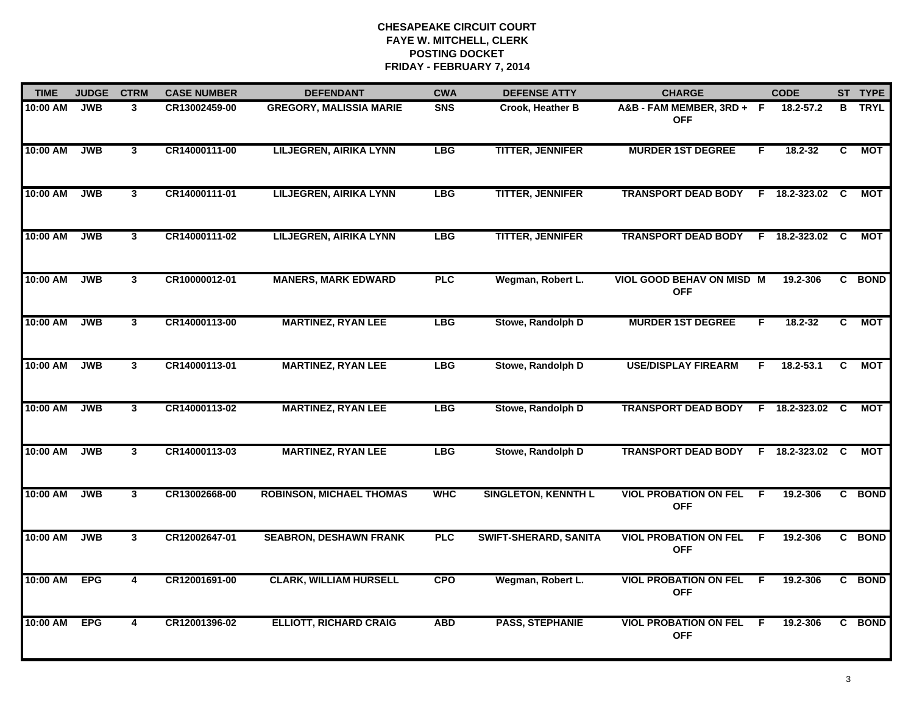| <b>TIME</b> | <b>JUDGE</b> | <b>CTRM</b>    | <b>CASE NUMBER</b> | <b>DEFENDANT</b>                | <b>CWA</b> | <b>DEFENSE ATTY</b>          | <b>CHARGE</b>                                  |    | <b>CODE</b>     |     | ST TYPE       |
|-------------|--------------|----------------|--------------------|---------------------------------|------------|------------------------------|------------------------------------------------|----|-----------------|-----|---------------|
| 10:00 AM    | <b>JWB</b>   | $\mathbf{3}$   | CR13002459-00      | <b>GREGORY, MALISSIA MARIE</b>  | <b>SNS</b> | Crook, Heather B             | A&B-FAM MEMBER, 3RD+ F<br><b>OFF</b>           |    | 18.2-57.2       |     | <b>B</b> TRYL |
| 10:00 AM    | <b>JWB</b>   | $\mathbf{3}$   | CR14000111-00      | <b>LILJEGREN, AIRIKA LYNN</b>   | <b>LBG</b> | <b>TITTER, JENNIFER</b>      | <b>MURDER 1ST DEGREE</b>                       | F. | 18.2-32         | C   | <b>MOT</b>    |
| 10:00 AM    | <b>JWB</b>   | $\mathbf{3}$   | CR14000111-01      | <b>LILJEGREN, AIRIKA LYNN</b>   | <b>LBG</b> | <b>TITTER, JENNIFER</b>      | <b>TRANSPORT DEAD BODY</b>                     |    | F 18.2-323.02   | C   | MOT           |
| 10:00 AM    | <b>JWB</b>   | $\mathbf{3}$   | CR14000111-02      | <b>LILJEGREN, AIRIKA LYNN</b>   | <b>LBG</b> | <b>TITTER, JENNIFER</b>      | <b>TRANSPORT DEAD BODY</b>                     |    | F 18.2-323.02   | C   | MOT           |
| 10:00 AM    | <b>JWB</b>   | 3              | CR10000012-01      | <b>MANERS, MARK EDWARD</b>      | <b>PLC</b> | Wegman, Robert L.            | <b>VIOL GOOD BEHAV ON MISD M</b><br><b>OFF</b> |    | 19.2-306        |     | C BOND        |
| 10:00 AM    | <b>JWB</b>   | $\mathbf{3}$   | CR14000113-00      | <b>MARTINEZ, RYAN LEE</b>       | <b>LBG</b> | Stowe, Randolph D            | <b>MURDER 1ST DEGREE</b>                       | F. | 18.2-32         | C.  | <b>MOT</b>    |
| 10:00 AM    | <b>JWB</b>   | 3              | CR14000113-01      | <b>MARTINEZ, RYAN LEE</b>       | <b>LBG</b> | Stowe, Randolph D            | <b>USE/DISPLAY FIREARM</b>                     | F. | $18.2 - 53.1$   | C   | <b>MOT</b>    |
| 10:00 AM    | <b>JWB</b>   | $\mathbf{3}$   | CR14000113-02      | <b>MARTINEZ, RYAN LEE</b>       | <b>LBG</b> | Stowe, Randolph D            | <b>TRANSPORT DEAD BODY</b>                     |    | $F$ 18.2-323.02 | - C | МОТ           |
| 10:00 AM    | <b>JWB</b>   | 3              | CR14000113-03      | <b>MARTINEZ, RYAN LEE</b>       | <b>LBG</b> | Stowe, Randolph D            | <b>TRANSPORT DEAD BODY</b>                     |    | F 18.2-323.02   | C.  | МОТ           |
| 10:00 AM    | <b>JWB</b>   | $\mathbf{3}$   | CR13002668-00      | <b>ROBINSON, MICHAEL THOMAS</b> | <b>WHC</b> | <b>SINGLETON, KENNTH L</b>   | <b>VIOL PROBATION ON FEL</b><br><b>OFF</b>     | E  | 19.2-306        |     | C BOND        |
| 10:00 AM    | <b>JWB</b>   | 3              | CR12002647-01      | <b>SEABRON, DESHAWN FRANK</b>   | <b>PLC</b> | <b>SWIFT-SHERARD, SANITA</b> | <b>VIOL PROBATION ON FEL</b><br><b>OFF</b>     | F  | 19.2-306        |     | C BOND        |
| 10:00 AM    | <b>EPG</b>   | $\overline{4}$ | CR12001691-00      | <b>CLARK, WILLIAM HURSELL</b>   | <b>CPO</b> | Wegman, Robert L.            | <b>VIOL PROBATION ON FEL</b><br><b>OFF</b>     | F. | 19.2-306        |     | C BOND        |
| 10:00 AM    | <b>EPG</b>   | 4              | CR12001396-02      | <b>ELLIOTT, RICHARD CRAIG</b>   | <b>ABD</b> | <b>PASS, STEPHANIE</b>       | <b>VIOL PROBATION ON FEL</b><br><b>OFF</b>     | F. | 19.2-306        |     | C BOND        |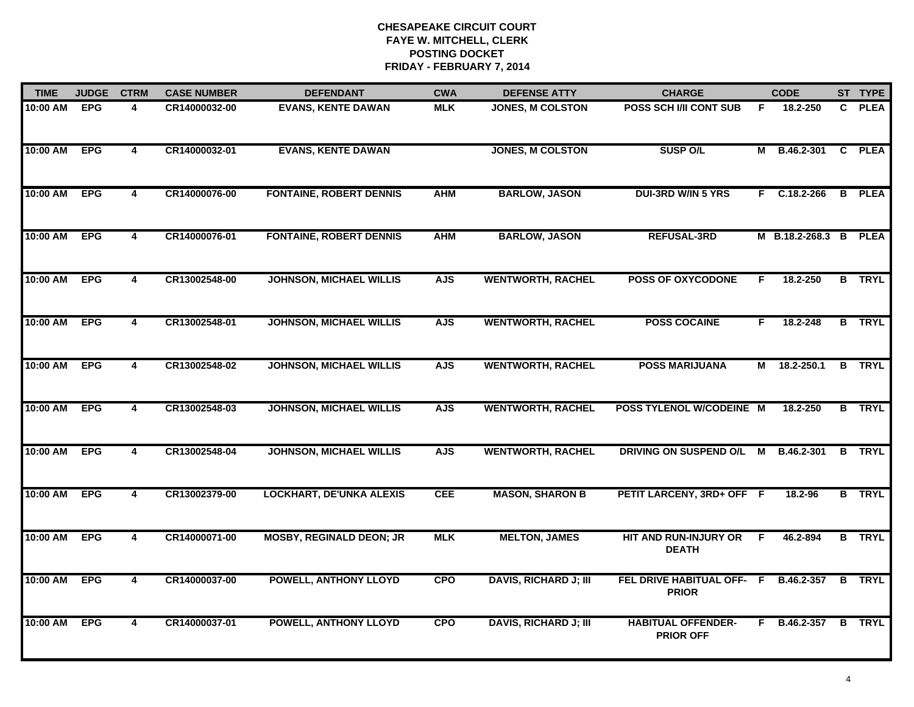| <b>TIME</b> | <b>JUDGE</b> | <b>CTRM</b>             | <b>CASE NUMBER</b> | <b>DEFENDANT</b>                | <b>CWA</b> | <b>DEFENSE ATTY</b>          | <b>CHARGE</b>                                 |    | <b>CODE</b>           |              | ST TYPE       |
|-------------|--------------|-------------------------|--------------------|---------------------------------|------------|------------------------------|-----------------------------------------------|----|-----------------------|--------------|---------------|
| 10:00 AM    | <b>EPG</b>   | $\overline{\mathbf{A}}$ | CR14000032-00      | <b>EVANS, KENTE DAWAN</b>       | <b>MLK</b> | <b>JONES, M COLSTON</b>      | <b>POSS SCH I/II CONT SUB</b>                 | F  | 18.2-250              | $\mathbf{c}$ | <b>PLEA</b>   |
| 10:00 AM    | <b>EPG</b>   | $\overline{4}$          | CR14000032-01      | <b>EVANS, KENTE DAWAN</b>       |            | <b>JONES, M COLSTON</b>      | <b>SUSP O/L</b>                               | м  | B.46.2-301            |              | C PLEA        |
| 10:00 AM    | <b>EPG</b>   | $\overline{4}$          | CR14000076-00      | <b>FONTAINE, ROBERT DENNIS</b>  | <b>AHM</b> | <b>BARLOW, JASON</b>         | <b>DUI-3RD W/IN 5 YRS</b>                     |    | $F$ C.18.2-266        |              | <b>B</b> PLEA |
| 10:00 AM    | <b>EPG</b>   | 4                       | CR14000076-01      | <b>FONTAINE, ROBERT DENNIS</b>  | <b>AHM</b> | <b>BARLOW, JASON</b>         | <b>REFUSAL-3RD</b>                            |    | M B.18.2-268.3 B PLEA |              |               |
| 10:00 AM    | <b>EPG</b>   | 4                       | CR13002548-00      | <b>JOHNSON, MICHAEL WILLIS</b>  | <b>AJS</b> | <b>WENTWORTH, RACHEL</b>     | <b>POSS OF OXYCODONE</b>                      | F. | 18.2-250              |              | <b>B</b> TRYL |
| 10:00 AM    | <b>EPG</b>   | 4                       | CR13002548-01      | <b>JOHNSON, MICHAEL WILLIS</b>  | <b>AJS</b> | <b>WENTWORTH, RACHEL</b>     | <b>POSS COCAINE</b>                           | F. | 18.2-248              |              | <b>B</b> TRYL |
| 10:00 AM    | <b>EPG</b>   | $\overline{\mathbf{4}}$ | CR13002548-02      | <b>JOHNSON, MICHAEL WILLIS</b>  | <b>AJS</b> | <b>WENTWORTH, RACHEL</b>     | <b>POSS MARIJUANA</b>                         | М  | 18.2-250.1            |              | <b>B</b> TRYL |
| 10:00 AM    | <b>EPG</b>   | $\overline{4}$          | CR13002548-03      | <b>JOHNSON, MICHAEL WILLIS</b>  | <b>AJS</b> | <b>WENTWORTH, RACHEL</b>     | POSS TYLENOL W/CODEINE M                      |    | 18.2-250              |              | <b>B</b> TRYL |
| 10:00 AM    | <b>EPG</b>   | 4                       | CR13002548-04      | <b>JOHNSON, MICHAEL WILLIS</b>  | <b>AJS</b> | <b>WENTWORTH, RACHEL</b>     | DRIVING ON SUSPEND O/L                        | M  | B.46.2-301            | B            | <b>TRYL</b>   |
| 10:00 AM    | <b>EPG</b>   | 4                       | CR13002379-00      | <b>LOCKHART, DE'UNKA ALEXIS</b> | <b>CEE</b> | <b>MASON, SHARON B</b>       | PETIT LARCENY, 3RD+ OFF F                     |    | 18.2-96               |              | <b>B</b> TRYL |
| 10:00 AM    | <b>EPG</b>   | 4                       | CR14000071-00      | <b>MOSBY, REGINALD DEON; JR</b> | <b>MLK</b> | <b>MELTON, JAMES</b>         | HIT AND RUN-INJURY OR<br><b>DEATH</b>         | -F | 46.2-894              |              | <b>B</b> TRYL |
| 10:00 AM    | <b>EPG</b>   | $\overline{\mathbf{4}}$ | CR14000037-00      | <b>POWELL, ANTHONY LLOYD</b>    | <b>CPO</b> | <b>DAVIS, RICHARD J; III</b> | FEL DRIVE HABITUAL OFF-<br><b>PRIOR</b>       | -F | B.46.2-357            | B            | <b>TRYL</b>   |
| 10:00 AM    | <b>EPG</b>   | 4                       | CR14000037-01      | <b>POWELL, ANTHONY LLOYD</b>    | <b>CPO</b> | <b>DAVIS, RICHARD J; III</b> | <b>HABITUAL OFFENDER-</b><br><b>PRIOR OFF</b> |    | F B.46.2-357          |              | <b>B</b> TRYL |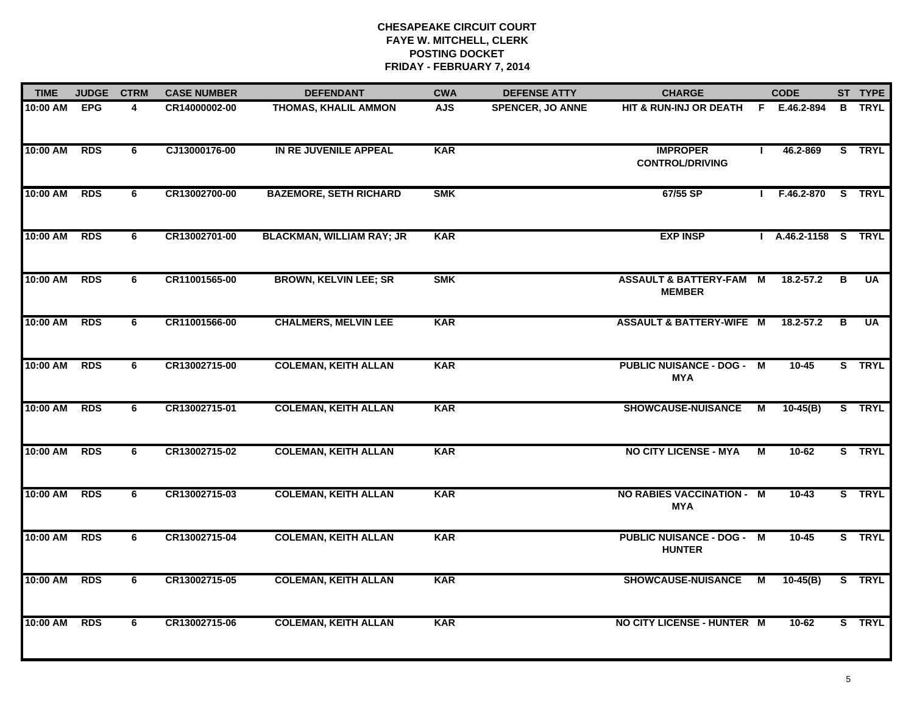| <b>TIME</b>  | <b>JUDGE</b> | <b>CTRM</b> | <b>CASE NUMBER</b> | <b>DEFENDANT</b>                 | <b>CWA</b> | <b>DEFENSE ATTY</b>     | <b>CHARGE</b>                                     |              | <b>CODE</b>          |   | ST TYPE       |
|--------------|--------------|-------------|--------------------|----------------------------------|------------|-------------------------|---------------------------------------------------|--------------|----------------------|---|---------------|
| 10:00 AM EPG |              | 4           | CR14000002-00      | <b>THOMAS, KHALIL AMMON</b>      | <b>AJS</b> | <b>SPENCER, JO ANNE</b> | <b>HIT &amp; RUN-INJ OR DEATH</b>                 |              | F E.46.2-894         |   | <b>B</b> TRYL |
| 10:00 AM     | <b>RDS</b>   | 6           | CJ13000176-00      | IN RE JUVENILE APPEAL            | <b>KAR</b> |                         | <b>IMPROPER</b><br><b>CONTROL/DRIVING</b>         | $\mathbf{I}$ | 46.2-869             |   | S TRYL        |
| 10:00 AM     | <b>RDS</b>   | 6           | CR13002700-00      | <b>BAZEMORE, SETH RICHARD</b>    | <b>SMK</b> |                         | 67/55 SP                                          | $\mathbf{L}$ | F.46.2-870           |   | S TRYL        |
| 10:00 AM     | <b>RDS</b>   | 6           | CR13002701-00      | <b>BLACKMAN, WILLIAM RAY; JR</b> | <b>KAR</b> |                         | <b>EXP INSP</b>                                   |              | I A.46.2-1158 S TRYL |   |               |
| 10:00 AM     | <b>RDS</b>   | 6           | CR11001565-00      | <b>BROWN, KELVIN LEE; SR</b>     | <b>SMK</b> |                         | ASSAULT & BATTERY-FAM M<br><b>MEMBER</b>          |              | 18.2-57.2            | B | UA            |
| 10:00 AM     | <b>RDS</b>   | 6           | CR11001566-00      | <b>CHALMERS, MELVIN LEE</b>      | <b>KAR</b> |                         | <b>ASSAULT &amp; BATTERY-WIFE M</b>               |              | 18.2-57.2            | в | <b>UA</b>     |
| 10:00 AM     | <b>RDS</b>   | 6           | CR13002715-00      | <b>COLEMAN, KEITH ALLAN</b>      | <b>KAR</b> |                         | <b>PUBLIC NUISANCE - DOG - M</b><br><b>MYA</b>    |              | $10 - 45$            |   | S TRYL        |
| 10:00 AM     | <b>RDS</b>   | 6           | CR13002715-01      | <b>COLEMAN, KEITH ALLAN</b>      | <b>KAR</b> |                         | <b>SHOWCAUSE-NUISANCE</b>                         | М            | $10-45(B)$           |   | S TRYL        |
| 10:00 AM     | <b>RDS</b>   | 6           | CR13002715-02      | <b>COLEMAN, KEITH ALLAN</b>      | <b>KAR</b> |                         | <b>NO CITY LICENSE - MYA</b>                      | М            | 10-62                |   | S TRYL        |
| 10:00 AM     | <b>RDS</b>   | 6           | CR13002715-03      | <b>COLEMAN, KEITH ALLAN</b>      | <b>KAR</b> |                         | <b>NO RABIES VACCINATION - M</b><br><b>MYA</b>    |              | $10 - 43$            |   | S TRYL        |
| 10:00 AM     | <b>RDS</b>   | 6           | CR13002715-04      | <b>COLEMAN, KEITH ALLAN</b>      | <b>KAR</b> |                         | <b>PUBLIC NUISANCE - DOG - M</b><br><b>HUNTER</b> |              | $10 - 45$            |   | S TRYL        |
| 10:00 AM     | <b>RDS</b>   | 6           | CR13002715-05      | <b>COLEMAN, KEITH ALLAN</b>      | <b>KAR</b> |                         | <b>SHOWCAUSE-NUISANCE</b>                         | М            | $10-45(B)$           |   | S TRYL        |
| 10:00 AM     | <b>RDS</b>   | 6           | CR13002715-06      | <b>COLEMAN, KEITH ALLAN</b>      | <b>KAR</b> |                         | NO CITY LICENSE - HUNTER M                        |              | 10-62                |   | S TRYL        |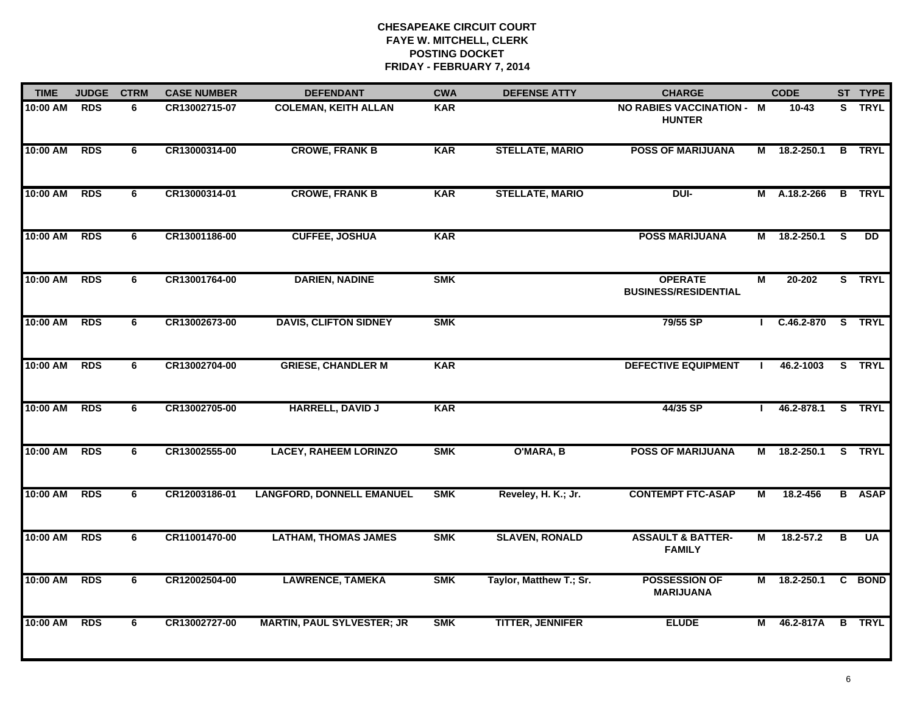| <b>TIME</b> | <b>JUDGE</b> | <b>CTRM</b> | <b>CASE NUMBER</b> | <b>DEFENDANT</b>                  | <b>CWA</b> | <b>DEFENSE ATTY</b>     | <b>CHARGE</b>                                     |    | <b>CODE</b>       |                         | ST TYPE       |
|-------------|--------------|-------------|--------------------|-----------------------------------|------------|-------------------------|---------------------------------------------------|----|-------------------|-------------------------|---------------|
| 10:00 AM    | <b>RDS</b>   | 6           | CR13002715-07      | <b>COLEMAN, KEITH ALLAN</b>       | <b>KAR</b> |                         | <b>NO RABIES VACCINATION - M</b><br><b>HUNTER</b> |    | $10 - 43$         | s                       | <b>TRYL</b>   |
| 10:00 AM    | <b>RDS</b>   | 6           | CR13000314-00      | <b>CROWE, FRANK B</b>             | <b>KAR</b> | <b>STELLATE, MARIO</b>  | <b>POSS OF MARIJUANA</b>                          |    | M 18.2-250.1      |                         | <b>B</b> TRYL |
| 10:00 AM    | <b>RDS</b>   | 6           | CR13000314-01      | <b>CROWE, FRANK B</b>             | <b>KAR</b> | <b>STELLATE, MARIO</b>  | DUI-                                              |    | M A.18.2-266      |                         | <b>B</b> TRYL |
| 10:00 AM    | <b>RDS</b>   | 6           | CR13001186-00      | <b>CUFFEE, JOSHUA</b>             | <b>KAR</b> |                         | <b>POSS MARIJUANA</b>                             | М  | 18.2-250.1        | <b>S</b>                | <b>DD</b>     |
| 10:00 AM    | <b>RDS</b>   | 6           | CR13001764-00      | <b>DARIEN, NADINE</b>             | <b>SMK</b> |                         | <b>OPERATE</b><br><b>BUSINESS/RESIDENTIAL</b>     | М  | 20-202            |                         | S TRYL        |
| 10:00 AM    | <b>RDS</b>   | 6           | CR13002673-00      | <b>DAVIS, CLIFTON SIDNEY</b>      | <b>SMK</b> |                         | 79/55 SP                                          | л. | $C.46.2 - 870$    |                         | S TRYL        |
| 10:00 AM    | <b>RDS</b>   | 6           | CR13002704-00      | <b>GRIESE, CHANDLER M</b>         | <b>KAR</b> |                         | <b>DEFECTIVE EQUIPMENT</b>                        |    | 46.2-1003         |                         | S TRYL        |
| 10:00 AM    | <b>RDS</b>   | 6           | CR13002705-00      | <b>HARRELL, DAVID J</b>           | <b>KAR</b> |                         | 44/35 SP                                          | Т. | 46.2-878.1 S TRYL |                         |               |
| 10:00 AM    | <b>RDS</b>   | 6           | CR13002555-00      | <b>LACEY, RAHEEM LORINZO</b>      | <b>SMK</b> | O'MARA, B               | <b>POSS OF MARIJUANA</b>                          | М  | 18.2-250.1        |                         | S TRYL        |
| 10:00 AM    | <b>RDS</b>   | 6           | CR12003186-01      | <b>LANGFORD, DONNELL EMANUEL</b>  | <b>SMK</b> | Reveley, H. K.; Jr.     | <b>CONTEMPT FTC-ASAP</b>                          | M  | 18.2-456          |                         | <b>B</b> ASAP |
| 10:00 AM    | <b>RDS</b>   | 6           | CR11001470-00      | <b>LATHAM, THOMAS JAMES</b>       | <b>SMK</b> | <b>SLAVEN, RONALD</b>   | <b>ASSAULT &amp; BATTER-</b><br><b>FAMILY</b>     | М  | $18.2 - 57.2$     | $\overline{\mathbf{B}}$ | <b>UA</b>     |
| 10:00 AM    | <b>RDS</b>   | 6           | CR12002504-00      | <b>LAWRENCE, TAMEKA</b>           | <b>SMK</b> | Taylor, Matthew T.; Sr. | <b>POSSESSION OF</b><br><b>MARIJUANA</b>          |    | M 18.2-250.1      |                         | C BOND        |
| 10:00 AM    | <b>RDS</b>   | 6           | CR13002727-00      | <b>MARTIN, PAUL SYLVESTER; JR</b> | <b>SMK</b> | <b>TITTER, JENNIFER</b> | <b>ELUDE</b>                                      | M  | 46.2-817A         |                         | <b>B</b> TRYL |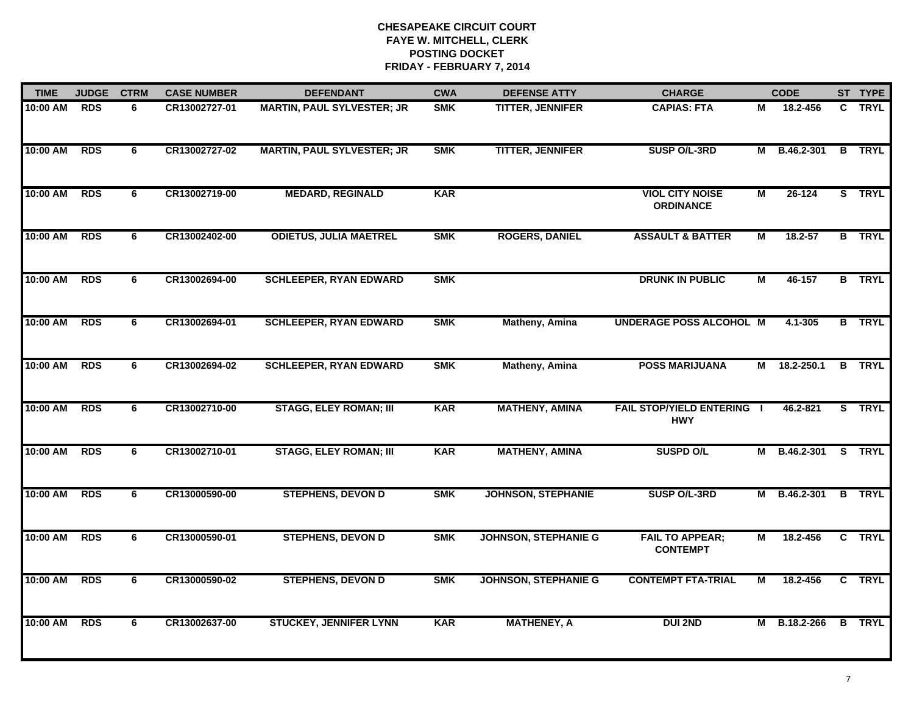| <b>TIME</b> | <b>JUDGE</b> | <b>CTRM</b>    | <b>CASE NUMBER</b> | <b>DEFENDANT</b>                  | <b>CWA</b> | <b>DEFENSE ATTY</b>         | <b>CHARGE</b>                                   |                         | <b>CODE</b>  |                | ST TYPE       |
|-------------|--------------|----------------|--------------------|-----------------------------------|------------|-----------------------------|-------------------------------------------------|-------------------------|--------------|----------------|---------------|
| 10:00 AM    | <b>RDS</b>   | 6              | CR13002727-01      | <b>MARTIN, PAUL SYLVESTER; JR</b> | <b>SMK</b> | <b>TITTER, JENNIFER</b>     | <b>CAPIAS: FTA</b>                              | М                       | 18.2-456     |                | C TRYL        |
| 10:00 AM    | <b>RDS</b>   | 6              | CR13002727-02      | <b>MARTIN, PAUL SYLVESTER; JR</b> | <b>SMK</b> | <b>TITTER, JENNIFER</b>     | SUSP O/L-3RD                                    |                         | M B.46.2-301 | $\overline{B}$ | <b>TRYL</b>   |
| 10:00 AM    | <b>RDS</b>   | 6              | CR13002719-00      | <b>MEDARD, REGINALD</b>           | <b>KAR</b> |                             | <b>VIOL CITY NOISE</b><br><b>ORDINANCE</b>      | $\overline{M}$          | 26-124       |                | S TRYL        |
| 10:00 AM    | <b>RDS</b>   | 6              | CR13002402-00      | <b>ODIETUS, JULIA MAETREL</b>     | <b>SMK</b> | <b>ROGERS, DANIEL</b>       | <b>ASSAULT &amp; BATTER</b>                     | М                       | $18.2 - 57$  |                | <b>B</b> TRYL |
| 10:00 AM    | <b>RDS</b>   | 6              | CR13002694-00      | <b>SCHLEEPER, RYAN EDWARD</b>     | <b>SMK</b> |                             | <b>DRUNK IN PUBLIC</b>                          | M                       | 46-157       |                | <b>B</b> TRYL |
| 10:00 AM    | <b>RDS</b>   | 6              | CR13002694-01      | <b>SCHLEEPER, RYAN EDWARD</b>     | <b>SMK</b> | Matheny, Amina              | <b>UNDERAGE POSS ALCOHOL M</b>                  |                         | 4.1-305      |                | <b>B</b> TRYL |
| 10:00 AM    | <b>RDS</b>   | 6              | CR13002694-02      | <b>SCHLEEPER, RYAN EDWARD</b>     | <b>SMK</b> | Matheny, Amina              | <b>POSS MARIJUANA</b>                           | М                       | 18.2-250.1   | B              | <b>TRYL</b>   |
| 10:00 AM    | <b>RDS</b>   | 6              | CR13002710-00      | <b>STAGG, ELEY ROMAN; III</b>     | <b>KAR</b> | <b>MATHENY, AMINA</b>       | <b>FAIL STOP/YIELD ENTERING I</b><br><b>HWY</b> |                         | 46.2-821     |                | S TRYL        |
| 10:00 AM    | <b>RDS</b>   | 6              | CR13002710-01      | <b>STAGG, ELEY ROMAN; III</b>     | <b>KAR</b> | <b>MATHENY, AMINA</b>       | <b>SUSPD O/L</b>                                | м                       | B.46.2-301   |                | S TRYL        |
| 10:00 AM    | <b>RDS</b>   | 6              | CR13000590-00      | <b>STEPHENS, DEVON D</b>          | <b>SMK</b> | <b>JOHNSON, STEPHANIE</b>   | SUSP O/L-3RD                                    | M                       | B.46.2-301   |                | <b>B</b> TRYL |
| 10:00 AM    | <b>RDS</b>   | 6              | CR13000590-01      | <b>STEPHENS, DEVON D</b>          | <b>SMK</b> | <b>JOHNSON, STEPHANIE G</b> | <b>FAIL TO APPEAR;</b><br><b>CONTEMPT</b>       | М                       | 18.2-456     |                | C TRYL        |
| 10:00 AM    | <b>RDS</b>   | $\overline{6}$ | CR13000590-02      | <b>STEPHENS, DEVON D</b>          | <b>SMK</b> | <b>JOHNSON, STEPHANIE G</b> | <b>CONTEMPT FTA-TRIAL</b>                       | $\overline{\mathsf{M}}$ | 18.2-456     | $\overline{c}$ | <b>TRYL</b>   |
| 10:00 AM    | <b>RDS</b>   | 6              | CR13002637-00      | <b>STUCKEY, JENNIFER LYNN</b>     | <b>KAR</b> | <b>MATHENEY, A</b>          | <b>DUI 2ND</b>                                  |                         | M B.18.2-266 |                | <b>B</b> TRYL |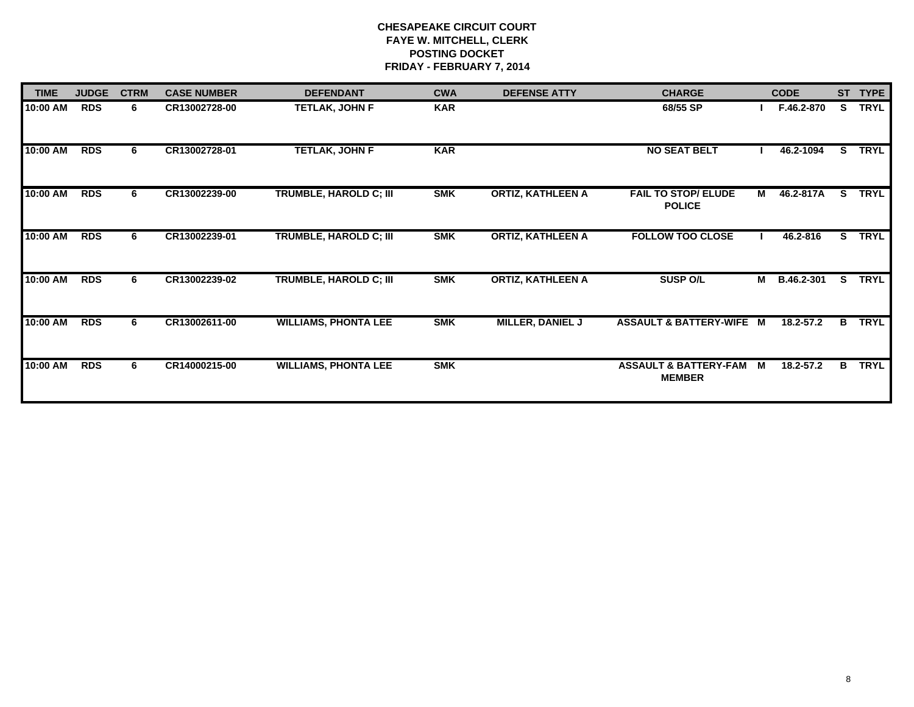| <b>TIME</b> | <b>JUDGE</b> | <b>CTRM</b> | <b>CASE NUMBER</b> | <b>DEFENDANT</b>              | <b>CWA</b> | <b>DEFENSE ATTY</b>      | <b>CHARGE</b>                                     |   | <b>CODE</b> | <b>ST</b> | <b>TYPE</b> |
|-------------|--------------|-------------|--------------------|-------------------------------|------------|--------------------------|---------------------------------------------------|---|-------------|-----------|-------------|
| 10:00 AM    | <b>RDS</b>   | 6           | CR13002728-00      | <b>TETLAK, JOHN F</b>         | <b>KAR</b> |                          | 68/55 SP                                          |   | F.46.2-870  | S.        | <b>TRYL</b> |
| 10:00 AM    | <b>RDS</b>   | 6           | CR13002728-01      | <b>TETLAK, JOHN F</b>         | <b>KAR</b> |                          | <b>NO SEAT BELT</b>                               |   | 46.2-1094   | S.        | <b>TRYL</b> |
| 10:00 AM    | <b>RDS</b>   | 6           | CR13002239-00      | <b>TRUMBLE, HAROLD C; III</b> | <b>SMK</b> | <b>ORTIZ, KATHLEEN A</b> | <b>FAIL TO STOP/ ELUDE</b><br><b>POLICE</b>       | M | 46.2-817A   | S.        | <b>TRYL</b> |
| 10:00 AM    | <b>RDS</b>   | 6           | CR13002239-01      | TRUMBLE, HAROLD C; III        | <b>SMK</b> | <b>ORTIZ, KATHLEEN A</b> | <b>FOLLOW TOO CLOSE</b>                           |   | 46.2-816    | S.        | <b>TRYL</b> |
| 10:00 AM    | <b>RDS</b>   | 6.          | CR13002239-02      | <b>TRUMBLE, HAROLD C; III</b> | <b>SMK</b> | <b>ORTIZ, KATHLEEN A</b> | <b>SUSP O/L</b>                                   | м | B.46.2-301  | S.        | <b>TRYL</b> |
| 10:00 AM    | <b>RDS</b>   | 6           | CR13002611-00      | <b>WILLIAMS, PHONTA LEE</b>   | <b>SMK</b> | <b>MILLER, DANIEL J</b>  | ASSAULT & BATTERY-WIFE M                          |   | 18.2-57.2   | B         | <b>TRYL</b> |
| 10:00 AM    | <b>RDS</b>   | 6           | CR14000215-00      | <b>WILLIAMS, PHONTA LEE</b>   | <b>SMK</b> |                          | <b>ASSAULT &amp; BATTERY-FAM</b><br><b>MEMBER</b> | M | 18.2-57.2   | B         | <b>TRYL</b> |